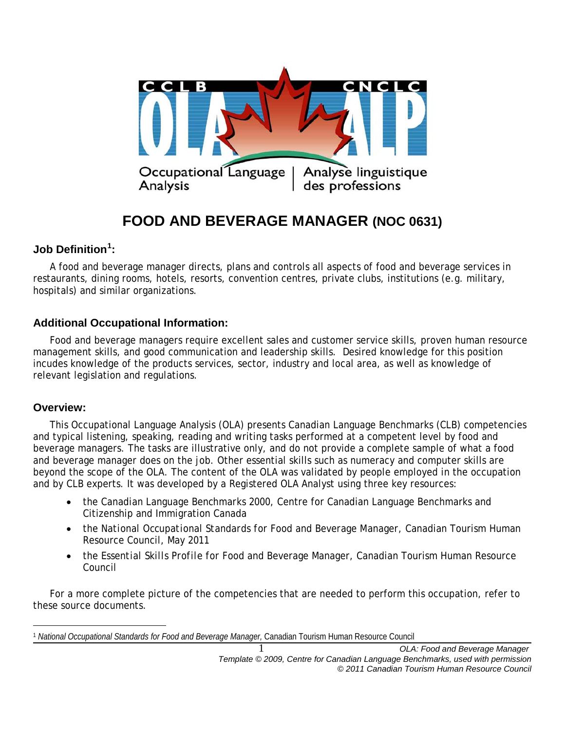

# **FOOD AND BEVERAGE MANAGER (NOC 0631)**

# **Job Definition[1](#page-0-0) :**

A food and beverage manager directs, plans and controls all aspects of food and beverage services in restaurants, dining rooms, hotels, resorts, convention centres, private clubs, institutions (e.g. military, hospitals) and similar organizations.

#### **Additional Occupational Information:**

Food and beverage managers require excellent sales and customer service skills, proven human resource management skills, and good communication and leadership skills. Desired knowledge for this position incudes knowledge of the products services, sector, industry and local area, as well as knowledge of relevant legislation and regulations.

#### **Overview:**

This Occupational Language Analysis (OLA) presents Canadian Language Benchmarks (CLB) competencies and typical listening, speaking, reading and writing tasks performed at a competent level by food and beverage managers. The tasks are illustrative only, and do not provide a complete sample of what a food and beverage manager does on the job. Other essential skills such as numeracy and computer skills are beyond the scope of the OLA. The content of the OLA was validated by people employed in the occupation and by CLB experts. It was developed by a Registered OLA Analyst using three key resources:

- the *Canadian Language Benchmarks 2000*, Centre for Canadian Language Benchmarks and Citizenship and Immigration Canada
- the *National Occupational Standards for Food and Beverage Manager*, Canadian Tourism Human Resource Council, May 2011
- the *Essential Skills Profile for* Food and Beverage Manager, Canadian Tourism Human Resource Council

For a more complete picture of the competencies that are needed to perform this occupation, refer to these source documents.

<span id="page-0-0"></span> $\overline{a}$ <sup>1</sup> *National Occupational Standards for Food and Beverage Manager,* Canadian Tourism Human Resource Council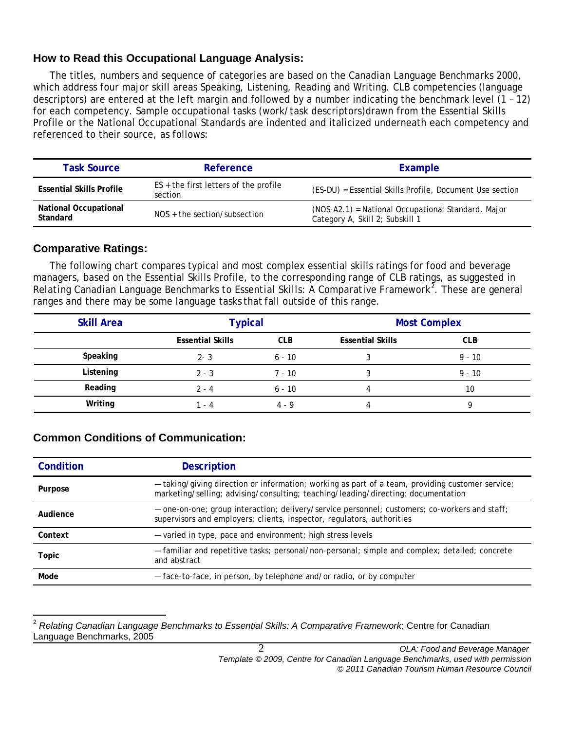## **How to Read this Occupational Language Analysis:**

The titles, numbers and sequence of categories are based on the *Canadian Language Benchmarks 2000*, which address four major skill areas Speaking, Listening, Reading and Writing. CLB competencies (language descriptors) are entered at the left margin and followed by a number indicating the benchmark level (1 – 12) for each competency. Sample occupational tasks (work/task descriptors)drawn from the Essential Skills Profile or the National Occupational Standards are indented and italicized underneath each competency and referenced to their source, as follows:

| <b>Task Source</b>                       | Reference                                          | Example                                                                               |
|------------------------------------------|----------------------------------------------------|---------------------------------------------------------------------------------------|
| <b>Essential Skills Profile</b>          | $ES +$ the first letters of the profile<br>section | (ES-DU) = Essential Skills Profile, Document Use section                              |
| <b>National Occupational</b><br>Standard | $NOS +$ the section/subsection                     | (NOS-A2.1) = National Occupational Standard, Major<br>Category A, Skill 2; Subskill 1 |

# **Comparative Ratings:**

The following chart compares typical and most complex essential skills ratings for food and beverage managers, based on the Essential Skills Profile, to the corresponding range of CLB ratings, as suggested in *Relating Canadian Language Benchmarks to Essential Skills: A Comparative Framework[2](#page-1-0)* . These are general ranges and there may be some language tasks thatfall outside of this range.

| <b>Skill Area</b> | <b>Typical</b>          |            | <b>Most Complex</b>     |            |
|-------------------|-------------------------|------------|-------------------------|------------|
|                   | <b>Essential Skills</b> | <b>CLB</b> | <b>Essential Skills</b> | <b>CLB</b> |
| Speaking          | $2 - 3$                 | 6 - 10     |                         | $9 - 10$   |
| Listening         | $2 - 3$                 | 7 - 10     |                         | $9 - 10$   |
| Reading           | $2 - 4$                 | 6 - 10     |                         | 10         |
| Writing           | - 4                     | 4.9        |                         |            |

# **Common Conditions of Communication:**

| Condition | <b>Description</b>                                                                                                                                                                    |
|-----------|---------------------------------------------------------------------------------------------------------------------------------------------------------------------------------------|
| Purpose   | - taking/giving direction or information; working as part of a team, providing customer service;<br>marketing/selling; advising/consulting; teaching/leading/directing; documentation |
| Audience  | - one-on-one; group interaction; delivery/service personnel; customers; co-workers and staff;<br>supervisors and employers; clients, inspector, regulators, authorities               |
| Context   | - varied in type, pace and environment; high stress levels                                                                                                                            |
| Topic     | - familiar and repetitive tasks; personal/non-personal; simple and complex; detailed; concrete<br>and abstract                                                                        |
| Mode      | - face-to-face, in person, by telephone and/or radio, or by computer                                                                                                                  |

<span id="page-1-0"></span><sup>2</sup> *Relating Canadian Language Benchmarks to Essential Skills: A Comparative Framework*; Centre for Canadian Language Benchmarks, 2005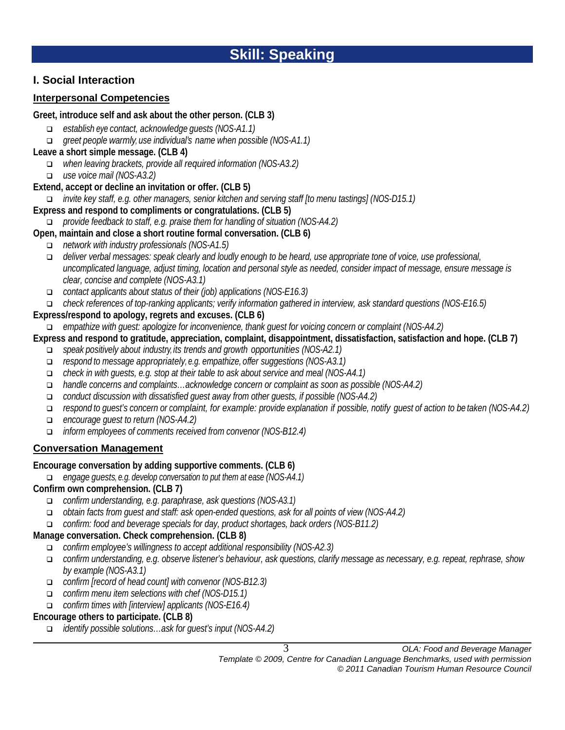# **I. Social Interaction**

# **Interpersonal Competencies**

#### **Greet, introduce self and ask about the other person. (CLB 3)**

- *establish eye contact, acknowledge guests (NOS-A1.1)*
- *greet people warmly, use individual's name when possible (NOS-A1.1)*

## **Leave a short simple message. (CLB 4)**

- *when leaving brackets, provide all required information (NOS-A3.2)*
- *use voice mail (NOS-A3.2)*

# **Extend, accept or decline an invitation or offer. (CLB 5)**

*invite key staff, e.g. other managers, senior kitchen and serving staff [to menu tastings] (NOS-D15.1)*

# **Express and respond to compliments or congratulations. (CLB 5)**

*provide feedback to staff, e.g. praise them for handling of situation (NOS-A4.2)*

# **Open, maintain and close a short routine formal conversation. (CLB 6)**

- *network with industry professionals (NOS-A1.5)*
- *deliver verbal messages: speak clearly and loudly enough to be heard, use appropriate tone of voice, use professional, uncomplicated language, adjust timing, location and personal style as needed, consider impact of message, ensure message is clear, concise and complete (NOS-A3.1)*
- *contact applicants about status of their (job) applications (NOS-E16.3)*

*check references of top-ranking applicants; verify information gathered in interview, ask standard questions (NOS-E16.5)*

# **Express/respond to apology, regrets and excuses. (CLB 6)**

*empathize with guest: apologize for inconvenience, thank guest for voicing concern or complaint (NOS-A4.2)*

# **Express and respond to gratitude, appreciation, complaint, disappointment, dissatisfaction, satisfaction and hope. (CLB 7)**

- *speak positively about industry, its trends and growth opportunities (NOS-A2.1)*
- *respond to message appropriately, e.g. empathize, offer suggestions (NOS-A3.1)*
- *check in with guests, e.g. stop at their table to ask about service and meal (NOS-A4.1)*
- *handle concerns and complaints…acknowledge concern or complaint as soon as possible (NOS-A4.2)*
- *conduct discussion with dissatisfied guest away from other guests, if possible (NOS-A4.2)*
- respond to quest's concern or complaint, for example: provide explanation if possible, notify quest of action to be taken (NOS-A4.2)
- *encourage guest to return (NOS-A4.2)*
- *inform employees of comments received from convenor (NOS-B12.4)*

# **Conversation Management**

# **Encourage conversation by adding supportive comments. (CLB 6)**

*engage guests, e.g. develop conversation to put them at ease (NOS-A4.1)*

# **Confirm own comprehension. (CLB 7)**

- *confirm understanding, e.g. paraphrase, ask questions (NOS-A3.1)*
- *obtain facts from guest and staff: ask open-ended questions, ask for all points of view (NOS-A4.2)*
- *confirm: food and beverage specials for day, product shortages, back orders (NOS-B11.2)*

# **Manage conversation. Check comprehension. (CLB 8)**

- *confirm employee's willingness to accept additional responsibility (NOS-A2.3)*
- *confirm understanding, e.g. observe listener's behaviour, ask questions, clarify message as necessary, e.g. repeat, rephrase, show by example (NOS-A3.1)*
- *confirm [record of head count] with convenor (NOS-B12.3)*
- *confirm menu item selections with chef (NOS-D15.1)*
- *confirm times with [interview] applicants (NOS-E16.4)*

# **Encourage others to participate. (CLB 8)**

*identify possible solutions…ask for guest's input (NOS-A4.2)*

3 *OLA: Food and Beverage Manager Template © 2009, Centre for Canadian Language Benchmarks, used with permission*

*© 2011 Canadian Tourism Human Resource Council*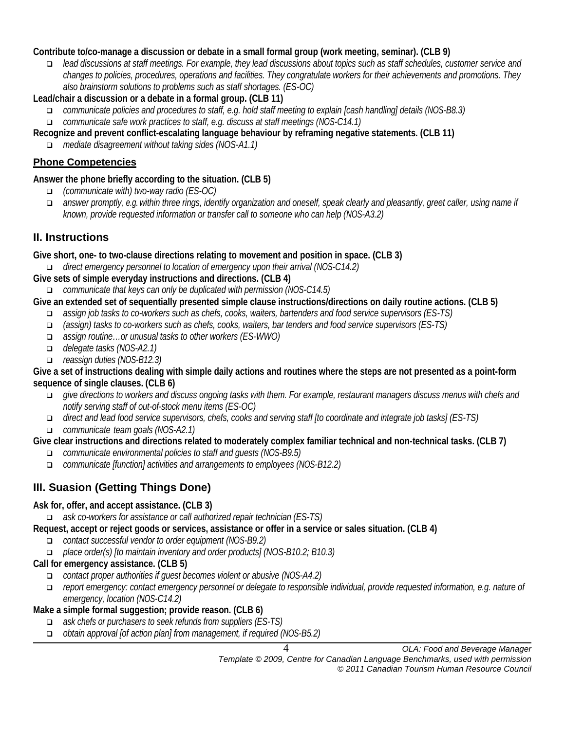#### **Contribute to/co-manage a discussion or debate in a small formal group (work meeting, seminar). (CLB 9)**

 *lead discussions at staff meetings. For example, they lead discussions about topics such as staff schedules, customer service and changes to policies, procedures, operations and facilities. They congratulate workers for their achievements and promotions. They also brainstorm solutions to problems such as staff shortages. (ES-OC)*

# **Lead/chair a discussion or a debate in a formal group. (CLB 11)**

- *communicate policies and procedures to staff, e.g. hold staff meeting to explain [cash handling] details (NOS-B8.3) communicate safe work practices to staff, e.g. discuss at staff meetings (NOS-C14.1)*
- **Recognize and prevent conflict-escalating language behaviour by reframing negative statements. (CLB 11)**
	- *mediate disagreement without taking sides (NOS-A1.1)*

# **Phone Competencies**

#### **Answer the phone briefly according to the situation. (CLB 5)**

- *(communicate with) two-way radio (ES-OC)*
- *answer promptly, e.g.within three rings, identify organization and oneself, speak clearly and pleasantly, greet caller, using name if known, provide requested information or transfer call to someone who can help (NOS-A3.2)*

# **II. Instructions**

**Give short, one- to two-clause directions relating to movement and position in space. (CLB 3)**

*direct emergency personnel to location of emergency upon their arrival (NOS-C14.2)*

**Give sets of simple everyday instructions and directions. (CLB 4)**

*communicate that keys can only be duplicated with permission (NOS-C14.5)* 

#### **Give an extended set of sequentially presented simple clause instructions/directions on daily routine actions. (CLB 5)**

- *assign job tasks to co-workers such as chefs, cooks, waiters, bartenders and food service supervisors (ES-TS)*
- *(assign) tasks to co-workers such as chefs, cooks, waiters, bar tenders and food service supervisors (ES-TS)*
- *assign routine…or unusual tasks to other workers (ES-WWO)*
- *delegate tasks (NOS-A2.1)*
- *reassign duties (NOS-B12.3)*

#### **Give a set of instructions dealing with simple daily actions and routines where the steps are not presented as a point-form sequence of single clauses. (CLB 6)**

- *give directions to workers and discuss ongoing tasks with them. For example, restaurant managers discuss menus with chefs and notify serving staff of out-of-stock menu items (ES-OC)*
- *direct and lead food service supervisors, chefs, cooks and serving staff [to coordinate and integrate job tasks] (ES-TS)*
- *communicate team goals (NOS-A2.1)*

#### **Give clear instructions and directions related to moderately complex familiar technical and non-technical tasks. (CLB 7)**

- *communicate environmental policies to staff and guests (NOS-B9.5)*
- *communicate [function] activities and arrangements to employees (NOS-B12.2)*

# **III. Suasion (Getting Things Done)**

#### **Ask for, offer, and accept assistance. (CLB 3)**

*ask co-workers for assistance or call authorized repair technician (ES-TS)*

- **Request, accept or reject goods or services, assistance or offer in a service or sales situation. (CLB 4)**
	- *contact successful vendor to order equipment (NOS-B9.2)*
	- *place order(s) [to maintain inventory and order products] (NOS-B10.2; B10.3)*

#### **Call for emergency assistance. (CLB 5)**

- *contact proper authorities if guest becomes violent or abusive (NOS-A4.2)*
- *report emergency: contact emergency personnel or delegate to responsible individual, provide requested information, e.g. nature of emergency, location (NOS-C14.2)*

#### **Make a simple formal suggestion; provide reason. (CLB 6)**

- *ask chefs or purchasers to seek refunds from suppliers (ES-TS)*
- *obtain approval [of action plan] from management, if required (NOS-B5.2)*

4 *OLA: Food and Beverage Manager*

*Template © 2009, Centre for Canadian Language Benchmarks, used with permission © 2011 Canadian Tourism Human Resource Council*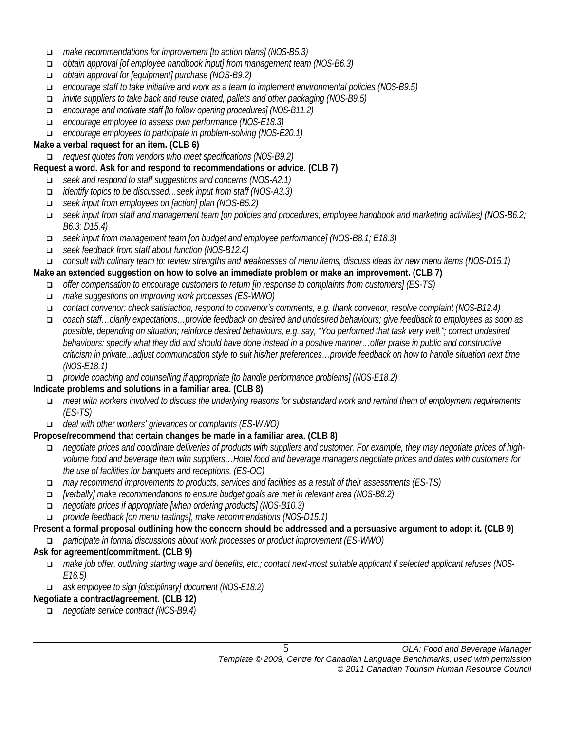- *make recommendations for improvement [to action plans] (NOS-B5.3)*
- *obtain approval [of employee handbook input] from management team (NOS-B6.3)*
- *obtain approval for [equipment] purchase (NOS-B9.2)*
- *encourage staff to take initiative and work as a team to implement environmental policies (NOS-B9.5)*
- *invite suppliers to take back and reuse crated, pallets and other packaging (NOS-B9.5)*
- *encourage and motivate staff [to follow opening procedures] (NOS-B11.2)*
- *encourage employee to assess own performance (NOS-E18.3)*
- *encourage employees to participate in problem-solving (NOS-E20.1)*

#### **Make a verbal request for an item. (CLB 6)**

*request quotes from vendors who meet specifications (NOS-B9.2)* 

#### **Request a word. Ask for and respond to recommendations or advice. (CLB 7)**

- *seek and respond to staff suggestions and concerns (NOS-A2.1)*
- *identify topics to be discussed…seek input from staff (NOS-A3.3)*
- *seek input from employees on [action] plan (NOS-B5.2)*
- *seek input from staff and management team [on policies and procedures, employee handbook and marketing activities] (NOS-B6.2; B6.3; D15.4)*
- *seek input from management team [on budget and employee performance] (NOS-B8.1; E18.3)*
- *seek feedback from staff about function (NOS-B12.4)*
- *consult with culinary team to: review strengths and weaknesses of menu items, discuss ideas for new menu items (NOS-D15.1)*

#### **Make an extended suggestion on how to solve an immediate problem or make an improvement. (CLB 7)**

- *offer compensation to encourage customers to return [in response to complaints from customers] (ES-TS)*
- *make suggestions on improving work processes (ES-WWO)*
- *contact convenor: check satisfaction, respond to convenor's comments, e.g. thank convenor, resolve complaint (NOS-B12.4)*
- *coach staff…clarify expectations…provide feedback on desired and undesired behaviours; give feedback to employees as soon as possible, depending on situation; reinforce desired behaviours, e.g. say, "You performed that task very well."; correct undesired behaviours: specify what they did and should have done instead in a positive manner…offer praise in public and constructive criticism in private...adjust communication style to suit his/her preferences…provide feedback on how to handle situation next time (NOS-E18.1)*
- *provide coaching and counselling if appropriate [to handle performance problems] (NOS-E18.2)*

#### **Indicate problems and solutions in a familiar area. (CLB 8)**

- *meet with workers involved to discuss the underlying reasons for substandard work and remind them of employment requirements (ES-TS)*
- *deal with other workers' grievances or complaints (ES-WWO)*

#### **Propose/recommend that certain changes be made in a familiar area. (CLB 8)**

- *negotiate prices and coordinate deliveries of products with suppliers and customer. For example, they may negotiate prices of highvolume food and beverage item with suppliers…Hotel food and beverage managers negotiate prices and dates with customers for the use of facilities for banquets and receptions. (ES-OC)*
- *may recommend improvements to products, services and facilities as a result of their assessments (ES-TS)*
- *[verbally] make recommendations to ensure budget goals are met in relevant area (NOS-B8.2)*
- *negotiate prices if appropriate [when ordering products] (NOS-B10.3)*
- *provide feedback [on menu tastings], make recommendations (NOS-D15.1)*

#### **Present a formal proposal outlining how the concern should be addressed and a persuasive argument to adopt it. (CLB 9)**

*participate in formal discussions about work processes or product improvement (ES-WWO)*

#### **Ask for agreement/commitment. (CLB 9)**

- *make job offer, outlining starting wage and benefits, etc.; contact next-most suitable applicant if selected applicant refuses (NOS-E16.5)*
- *ask employee to sign [disciplinary] document (NOS-E18.2)*

#### **Negotiate a contract/agreement. (CLB 12)**

*negotiate service contract (NOS-B9.4)*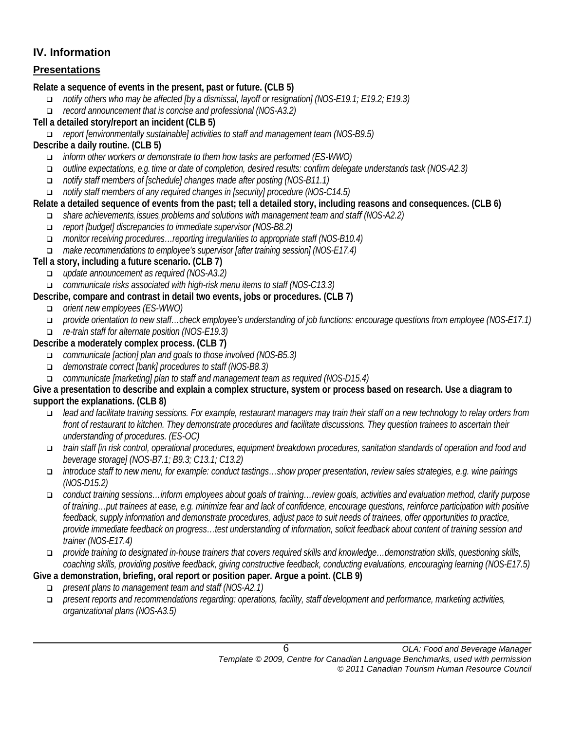# **IV. Information**

# **Presentations**

**Relate a sequence of events in the present, past or future. (CLB 5)**

- *notify others who may be affected [by a dismissal, layoff or resignation] (NOS-E19.1; E19.2; E19.3)*
- *record announcement that is concise and professional (NOS-A3.2)*
- **Tell a detailed story/report an incident (CLB 5)**

*report [environmentally sustainable] activities to staff and management team (NOS-B9.5)*

# **Describe a daily routine. (CLB 5)**

- *inform other workers or demonstrate to them how tasks are performed (ES-WWO)*
- *outline expectations, e.g. time or date of completion, desired results: confirm delegate understands task (NOS-A2.3)*
- *notify staff members of [schedule] changes made after posting (NOS-B11.1)*
- *notify staff members of any required changes in [security] procedure (NOS-C14.5)*

# **Relate a detailed sequence of events from the past; tell a detailed story, including reasons and consequences. (CLB 6)**

- *share achievements, issues, problems and solutions with management team and staff (NOS-A2.2)*
- *report [budget] discrepancies to immediate supervisor (NOS-B8.2)*
- *monitor receiving procedures…reporting irregularities to appropriate staff (NOS-B10.4)*
- *make recommendations to employee's supervisor [after training session] (NOS-E17.4)*

# **Tell a story, including a future scenario. (CLB 7)**

- *update announcement as required (NOS-A3.2)*
- *communicate risks associated with high-risk menu items to staff (NOS-C13.3)*

# **Describe, compare and contrast in detail two events, jobs or procedures. (CLB 7)**

- *orient new employees (ES-WWO)*
- *provide orientation to new staff…check employee's understanding of job functions: encourage questions from employee (NOS-E17.1)*
- *re-train staff for alternate position (NOS-E19.3)*

# **Describe a moderately complex process. (CLB 7)**

- *communicate [action] plan and goals to those involved (NOS-B5.3)*
- *demonstrate correct [bank] procedures to staff (NOS-B8.3)*
- *communicate [marketing] plan to staff and management team as required (NOS-D15.4)*

#### **Give a presentation to describe and explain a complex structure, system or process based on research. Use a diagram to support the explanations. (CLB 8)**

- *lead and facilitate training sessions. For example, restaurant managers may train their staff on a new technology to relay orders from front of restaurant to kitchen. They demonstrate procedures and facilitate discussions. They question trainees to ascertain their understanding of procedures. (ES-OC)*
- *train staff [in risk control, operational procedures, equipment breakdown procedures, sanitation standards of operation and food and beverage storage] (NOS-B7.1; B9.3; C13.1; C13.2)*
- *introduce staff to new menu, for example: conduct tastings…show proper presentation, review sales strategies, e.g. wine pairings (NOS-D15.2)*
- *conduct training sessions…inform employees about goals of training…review goals, activities and evaluation method, clarify purpose of training…put trainees at ease, e.g. minimize fear and lack of confidence, encourage questions, reinforce participation with positive feedback, supply information and demonstrate procedures, adjust pace to suit needs of trainees, offer opportunities to practice, provide immediate feedback on progress…test understanding of information, solicit feedback about content of training session and trainer (NOS-E17.4)*
- *provide training to designated in-house trainers that covers required skills and knowledge…demonstration skills, questioning skills, coaching skills, providing positive feedback, giving constructive feedback, conducting evaluations, encouraging learning (NOS-E17.5)*

# **Give a demonstration, briefing, oral report or position paper. Argue a point. (CLB 9)**

- *present plans to management team and staff (NOS-A2.1)*
- *present reports and recommendations regarding: operations, facility, staff development and performance, marketing activities, organizational plans (NOS-A3.5)*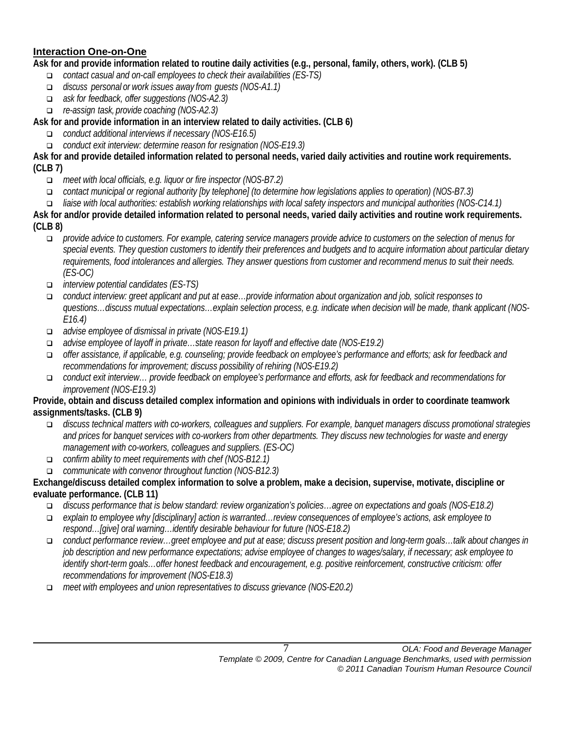## **Interaction One-on-One**

**Ask for and provide information related to routine daily activities (e.g., personal, family, others, work). (CLB 5)**

- *contact casual and on-call employees to check their availabilities (ES-TS)*
- *discuss personal or work issues away from guests (NOS-A1.1)*
- *ask for feedback, offer suggestions (NOS-A2.3)*
- *re-assign task, provide coaching (NOS-A2.3)*

# **Ask for and provide information in an interview related to daily activities. (CLB 6)**

- *conduct additional interviews if necessary (NOS-E16.5)*
- *conduct exit interview: determine reason for resignation (NOS-E19.3)*

**Ask for and provide detailed information related to personal needs, varied daily activities and routine work requirements. (CLB 7)**

- *meet with local officials, e.g. liquor or fire inspector (NOS-B7.2)*
- *contact municipal or regional authority [by telephone] (to determine how legislations applies to operation) (NOS-B7.3)*
- *liaise with local authorities: establish working relationships with local safety inspectors and municipal authorities (NOS-C14.1)*

**Ask for and/or provide detailed information related to personal needs, varied daily activities and routine work requirements. (CLB 8)**

- *provide advice to customers. For example, catering service managers provide advice to customers on the selection of menus for*  special events. They question customers to identify their preferences and budgets and to acquire information about particular dietary *requirements, food intolerances and allergies. They answer questions from customer and recommend menus to suit their needs. (ES-OC)*
- *interview potential candidates (ES-TS)*
- *conduct interview: greet applicant and put at ease…provide information about organization and job, solicit responses to questions…discuss mutual expectations…explain selection process, e.g. indicate when decision will be made, thank applicant (NOS-E16.4)*
- *advise employee of dismissal in private (NOS-E19.1)*
- *advise employee of layoff in private…state reason for layoff and effective date (NOS-E19.2)*
- *offer assistance, if applicable, e.g. counseling; provide feedback on employee's performance and efforts; ask for feedback and recommendations for improvement; discuss possibility of rehiring (NOS-E19.2)*
- *conduct exit interview… provide feedback on employee's performance and efforts, ask for feedback and recommendations for improvement (NOS-E19.3)*

#### **Provide, obtain and discuss detailed complex information and opinions with individuals in order to coordinate teamwork assignments/tasks. (CLB 9)**

- *discuss technical matters with co-workers, colleagues and suppliers. For example, banquet managers discuss promotional strategies and prices for banquet services with co-workers from other departments. They discuss new technologies for waste and energy management with co-workers, colleagues and suppliers. (ES-OC)*
- *confirm ability to meet requirements with chef (NOS-B12.1)*
- *communicate with convenor throughout function (NOS-B12.3)*

#### **Exchange/discuss detailed complex information to solve a problem, make a decision, supervise, motivate, discipline or evaluate performance. (CLB 11)**

- *discuss performance that is below standard: review organization's policies…agree on expectations and goals (NOS-E18.2)*
- *explain to employee why [disciplinary] action is warranted…review consequences of employee's actions, ask employee to respond…[give] oral warning…identify desirable behaviour for future (NOS-E18.2)*
- *conduct performance review…greet employee and put at ease; discuss present position and long-term goals…talk about changes in job description and new performance expectations; advise employee of changes to wages/salary, if necessary; ask employee to identify short-term goals…offer honest feedback and encouragement, e.g. positive reinforcement, constructive criticism: offer recommendations for improvement (NOS-E18.3)*
- *meet with employees and union representatives to discuss grievance (NOS-E20.2)*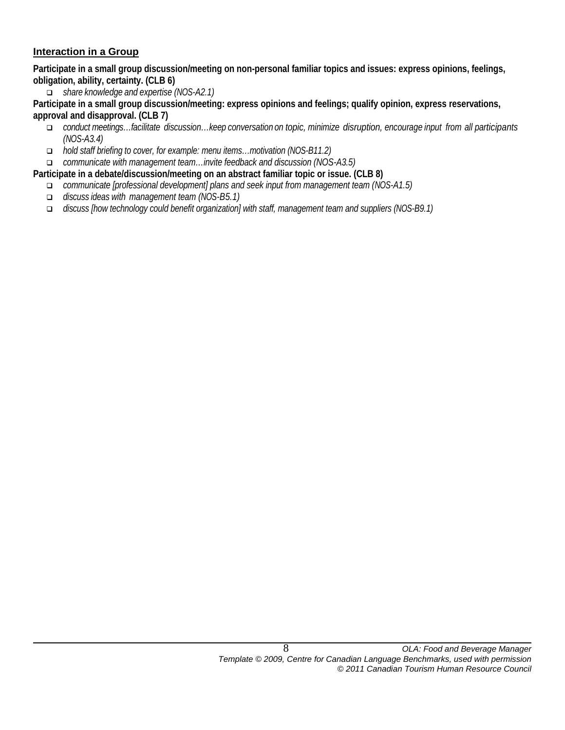#### **Interaction in a Group**

**Participate in a small group discussion/meeting on non-personal familiar topics and issues: express opinions, feelings, obligation, ability, certainty. (CLB 6)**

*share knowledge and expertise (NOS-A2.1)*

**Participate in a small group discussion/meeting: express opinions and feelings; qualify opinion, express reservations, approval and disapproval. (CLB 7)**

- *conduct meetings…facilitate discussion…keep conversation on topic, minimize disruption, encourage input from all participants (NOS-A3.4)*
- *hold staff briefing to cover, for example: menu items…motivation (NOS-B11.2)*
- *communicate with management team…invite feedback and discussion (NOS-A3.5)*
- **Participate in a debate/discussion/meeting on an abstract familiar topic or issue. (CLB 8)**
	- *communicate [professional development] plans and seek input from management team (NOS-A1.5)*
	- *discuss ideas with management team (NOS-B5.1)*
	- *discuss [how technology could benefit organization] with staff, management team and suppliers (NOS-B9.1)*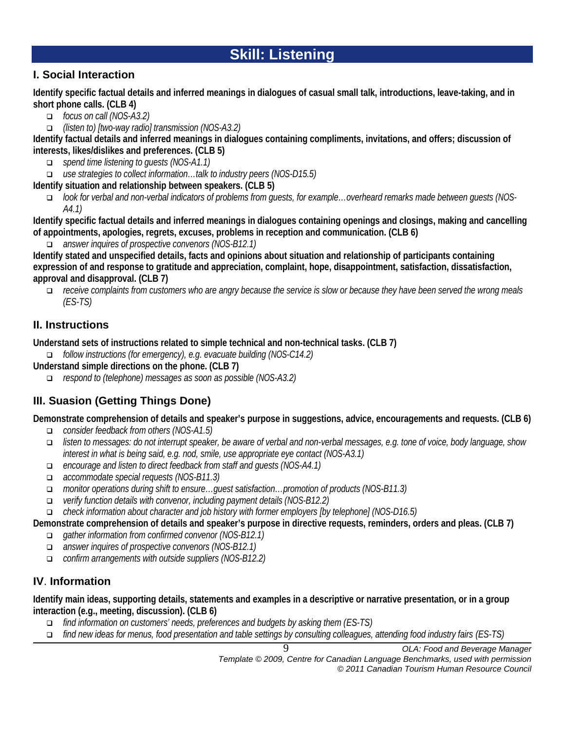# **Skill: Listening**

# **I. Social Interaction**

**Identify specific factual details and inferred meanings in dialogues of casual small talk, introductions, leave-taking, and in short phone calls. (CLB 4)**

- *focus on call (NOS-A3.2)*
- *(listen to) [two-way radio] transmission (NOS-A3.2)*

**Identify factual details and inferred meanings in dialogues containing compliments, invitations, and offers; discussion of interests, likes/dislikes and preferences. (CLB 5)**

- *spend time listening to guests (NOS-A1.1)*
- *use strategies to collect information…talk to industry peers (NOS-D15.5)*
- **Identify situation and relationship between speakers. (CLB 5)**
	- *look for verbal and non-verbal indicators of problems from guests, for example…overheard remarks made between guests (NOS-A4.1)*

**Identify specific factual details and inferred meanings in dialogues containing openings and closings, making and cancelling of appointments, apologies, regrets, excuses, problems in reception and communication. (CLB 6)**

*answer inquires of prospective convenors (NOS-B12.1)* 

**Identify stated and unspecified details, facts and opinions about situation and relationship of participants containing expression of and response to gratitude and appreciation, complaint, hope, disappointment, satisfaction, dissatisfaction, approval and disapproval. (CLB 7)**

 *receive complaints from customers who are angry because the service is slow or because they have been served the wrong meals (ES-TS)*

# **II. Instructions**

**Understand sets of instructions related to simple technical and non-technical tasks. (CLB 7)**

*follow instructions (for emergency), e.g. evacuate building (NOS-C14.2)*

**Understand simple directions on the phone. (CLB 7)**

*respond to (telephone) messages as soon as possible (NOS-A3.2)*

# **III. Suasion (Getting Things Done)**

**Demonstrate comprehension of details and speaker's purpose in suggestions, advice, encouragements and requests. (CLB 6)**

- *consider feedback from others (NOS-A1.5)*
- *listen to messages: do not interrupt speaker, be aware of verbal and non-verbal messages, e.g. tone of voice, body language, show interest in what is being said, e.g. nod, smile, use appropriate eye contact (NOS-A3.1)*
- *encourage and listen to direct feedback from staff and guests (NOS-A4.1)*
- *accommodate special requests (NOS-B11.3)*
- *monitor operations during shift to ensure…guest satisfaction…promotion of products (NOS-B11.3)*
- *verify function details with convenor, including payment details (NOS-B12.2)*
- *check information about character and job history with former employers [by telephone] (NOS-D16.5)*

**Demonstrate comprehension of details and speaker's purpose in directive requests, reminders, orders and pleas. (CLB 7)**

- *gather information from confirmed convenor (NOS-B12.1)*
- *answer inquires of prospective convenors (NOS-B12.1)*
- *confirm arrangements with outside suppliers (NOS-B12.2)*

# **IV**. **Information**

**Identify main ideas, supporting details, statements and examples in a descriptive or narrative presentation, or in a group interaction (e.g., meeting, discussion). (CLB 6)**

- *find information on customers' needs, preferences and budgets by asking them (ES-TS)*
- *find new ideas for menus, food presentation and table settings by consulting colleagues, attending food industry fairs (ES-TS)*

*Template © 2009, Centre for Canadian Language Benchmarks, used with permission © 2011 Canadian Tourism Human Resource Council*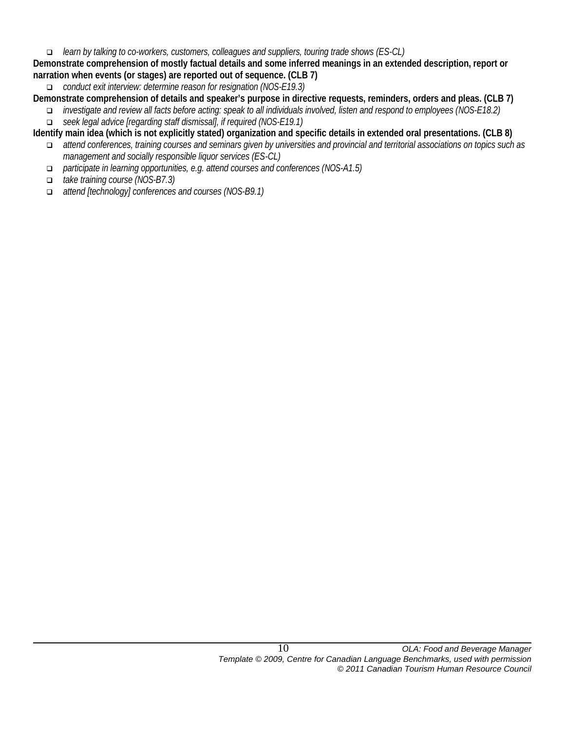*learn by talking to co-workers, customers, colleagues and suppliers, touring trade shows (ES-CL)*

**Demonstrate comprehension of mostly factual details and some inferred meanings in an extended description, report or narration when events (or stages) are reported out of sequence. (CLB 7)**

*conduct exit interview: determine reason for resignation (NOS-E19.3)* 

**Demonstrate comprehension of details and speaker's purpose in directive requests, reminders, orders and pleas. (CLB 7)**

- *investigate and review all facts before acting: speak to all individuals involved, listen and respond to employees (NOS-E18.2) seek legal advice [regarding staff dismissal], if required (NOS-E19.1)*
- **Identify main idea (which is not explicitly stated) organization and specific details in extended oral presentations. (CLB 8)**
	- *attend conferences, training courses and seminars given by universities and provincial and territorial associations on topics such as management and socially responsible liquor services (ES-CL)*
	- *participate in learning opportunities, e.g. attend courses and conferences (NOS-A1.5)*
	- *take training course (NOS-B7.3)*
	- *attend [technology] conferences and courses (NOS-B9.1)*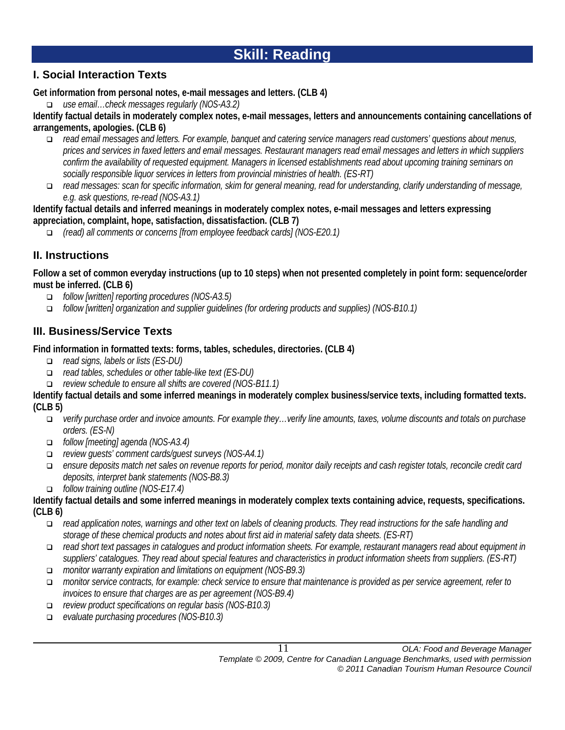# **Skill: Reading**

# **I. Social Interaction Texts**

**Get information from personal notes, e-mail messages and letters. (CLB 4)**

*use email…check messages regularly (NOS-A3.2)*

**Identify factual details in moderately complex notes, e-mail messages, letters and announcements containing cancellations of arrangements, apologies. (CLB 6)**

- *read email messages and letters. For example, banquet and catering service managers read customers' questions about menus, prices and services in faxed letters and email messages. Restaurant managers read email messages and letters in which suppliers confirm the availability of requested equipment. Managers in licensed establishments read about upcoming training seminars on socially responsible liquor services in letters from provincial ministries of health. (ES-RT)*
- *read messages: scan for specific information, skim for general meaning, read for understanding, clarify understanding of message, e.g. ask questions, re-read (NOS-A3.1)*

**Identify factual details and inferred meanings in moderately complex notes, e-mail messages and letters expressing appreciation, complaint, hope, satisfaction, dissatisfaction. (CLB 7)**

*(read) all comments or concerns [from employee feedback cards] (NOS-E20.1)* 

# **II. Instructions**

**Follow a set of common everyday instructions (up to 10 steps) when not presented completely in point form: sequence/order must be inferred. (CLB 6)**

- *follow [written] reporting procedures (NOS-A3.5)*
- *follow [written] organization and supplier guidelines (for ordering products and supplies) (NOS-B10.1)*

# **III. Business/Service Texts**

# **Find information in formatted texts: forms, tables, schedules, directories. (CLB 4)**

- *read signs, labels or lists (ES-DU)*
- *read tables, schedules or other table-like text (ES-DU)*
- *review schedule to ensure all shifts are covered (NOS-B11.1)*

**Identify factual details and some inferred meanings in moderately complex business/service texts, including formatted texts. (CLB 5)**

- *verify purchase order and invoice amounts. For example they…verify line amounts, taxes, volume discounts and totals on purchase orders. (ES-N)*
- *follow [meeting] agenda (NOS-A3.4)*
- *review guests' comment cards/guest surveys (NOS-A4.1)*
- *ensure deposits match net sales on revenue reports for period, monitor daily receipts and cash register totals, reconcile credit card deposits, interpret bank statements (NOS-B8.3)*
- *follow training outline (NOS-E17.4)*

**Identify factual details and some inferred meanings in moderately complex texts containing advice, requests, specifications. (CLB 6)**

- *read application notes, warnings and other text on labels of cleaning products. They read instructions for the safe handling and storage of these chemical products and notes about first aid in material safety data sheets. (ES-RT)*
- *read short text passages in catalogues and product information sheets. For example, restaurant managers read about equipment in suppliers' catalogues. They read about special features and characteristics in product information sheets from suppliers. (ES-RT)*
- *monitor warranty expiration and limitations on equipment (NOS-B9.3)*
- *monitor service contracts, for example: check service to ensure that maintenance is provided as per service agreement, refer to invoices to ensure that charges are as per agreement (NOS-B9.4)*
- *review product specifications on regular basis (NOS-B10.3)*
- *evaluate purchasing procedures (NOS-B10.3)*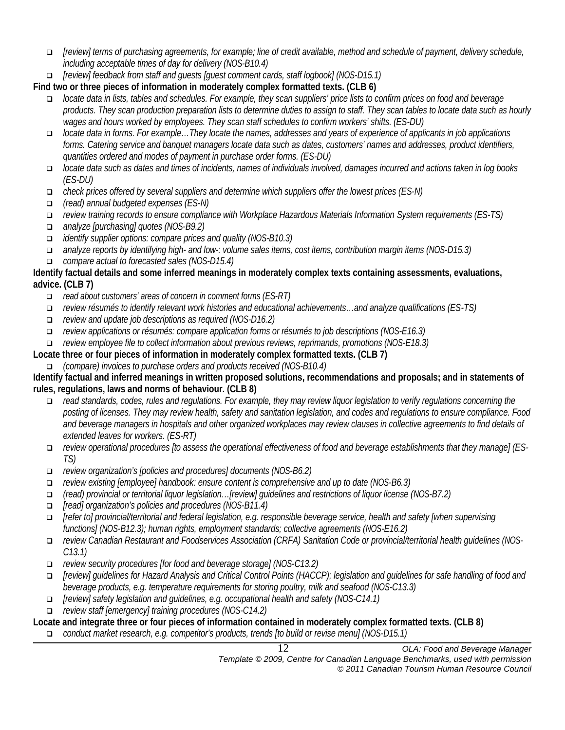- *[review] terms of purchasing agreements, for example; line of credit available, method and schedule of payment, delivery schedule, including acceptable times of day for delivery (NOS-B10.4)*
- *[review] feedback from staff and guests [guest comment cards, staff logbook] (NOS-D15.1)*

**Find two or three pieces of information in moderately complex formatted texts. (CLB 6)**

- *locate data in lists, tables and schedules. For example, they scan suppliers' price lists to confirm prices on food and beverage products. They scan production preparation lists to determine duties to assign to staff. They scan tables to locate data such as hourly wages and hours worked by employees. They scan staff schedules to confirm workers' shifts. (ES-DU)*
- *locate data in forms. For example…They locate the names, addresses and years of experience of applicants in job applications forms. Catering service and banquet managers locate data such as dates, customers' names and addresses, product identifiers, quantities ordered and modes of payment in purchase order forms. (ES-DU)*
- *locate data such as dates and times of incidents, names of individuals involved, damages incurred and actions taken in log books (ES-DU)*
- *check prices offered by several suppliers and determine which suppliers offer the lowest prices (ES-N)*
- *(read) annual budgeted expenses (ES-N)*
- *review training records to ensure compliance with Workplace Hazardous Materials Information System requirements (ES-TS)*
- *analyze [purchasing] quotes (NOS-B9.2)*
- *identify supplier options: compare prices and quality (NOS-B10.3)*
- *analyze reports by identifying high- and low-: volume sales items, cost items, contribution margin items (NOS-D15.3) compare actual to forecasted sales (NOS-D15.4)*

#### **Identify factual details and some inferred meanings in moderately complex texts containing assessments, evaluations, advice. (CLB 7)**

- *read about customers' areas of concern in comment forms (ES-RT)*
- *review résumés to identify relevant work histories and educational achievements…and analyze qualifications (ES-TS)*
- *review and update job descriptions as required (NOS-D16.2)*
- *review applications or résumés: compare application forms or résumés to job descriptions (NOS-E16.3)*
- *review employee file to collect information about previous reviews, reprimands, promotions (NOS-E18.3)*

# **Locate three or four pieces of information in moderately complex formatted texts. (CLB 7)**

*(compare) invoices to purchase orders and products received (NOS-B10.4)*

#### **Identify factual and inferred meanings in written proposed solutions, recommendations and proposals; and in statements of rules, regulations, laws and norms of behaviour. (CLB 8)**

- *read standards, codes, rules and regulations. For example, they may review liquor legislation to verify regulations concerning the posting of licenses. They may review health, safety and sanitation legislation, and codes and regulations to ensure compliance. Food and beverage managers in hospitals and other organized workplaces may review clauses in collective agreements to find details of extended leaves for workers. (ES-RT)*
- *review operational procedures [to assess the operational effectiveness of food and beverage establishments that they manage] (ES-TS)*
- *review organization's [policies and procedures] documents (NOS-B6.2)*
- *review existing [employee] handbook: ensure content is comprehensive and up to date (NOS-B6.3)*
- *(read) provincial or territorial liquor legislation…[review] guidelines and restrictions of liquor license (NOS-B7.2)*
- *[read] organization's policies and procedures (NOS-B11.4)*
- *[refer to] provincial/territorial and federal legislation, e.g. responsible beverage service, health and safety [when supervising functions] (NOS-B12.3); human rights, employment standards; collective agreements (NOS-E16.2)*
- *review Canadian Restaurant and Foodservices Association (CRFA) Sanitation Code or provincial/territorial health guidelines (NOS-C13.1)*
- *review security procedures [for food and beverage storage] (NOS-C13.2)*
- *[review] guidelines for Hazard Analysis and Critical Control Points (HACCP); legislation and guidelines for safe handling of food and beverage products, e.g. temperature requirements for storing poultry, milk and seafood (NOS-C13.3)*
- *[review] safety legislation and guidelines, e.g. occupational health and safety (NOS-C14.1)*
- *review staff [emergency] training procedures (NOS-C14.2)*

#### **Locate and integrate three or four pieces of information contained in moderately complex formatted texts. (CLB 8)** *conduct market research, e.g. competitor's products, trends [to build or revise menu] (NOS-D15.1)*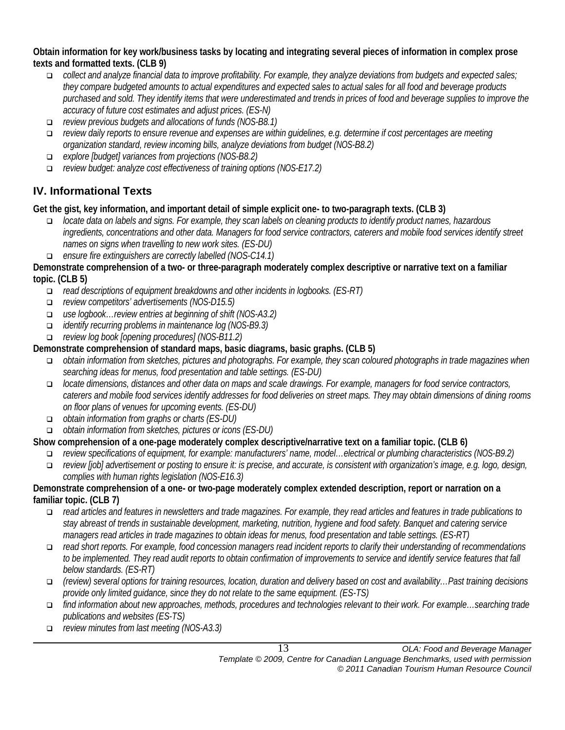**Obtain information for key work/business tasks by locating and integrating several pieces of information in complex prose texts and formatted texts. (CLB 9)**

- *collect and analyze financial data to improve profitability. For example, they analyze deviations from budgets and expected sales; they compare budgeted amounts to actual expenditures and expected sales to actual sales for all food and beverage products purchased and sold. They identify items that were underestimated and trends in prices of food and beverage supplies to improve the accuracy of future cost estimates and adjust prices. (ES-N)*
- *review previous budgets and allocations of funds (NOS-B8.1)*
- *review daily reports to ensure revenue and expenses are within guidelines, e.g. determine if cost percentages are meeting organization standard, review incoming bills, analyze deviations from budget (NOS-B8.2)*
- *explore [budget] variances from projections (NOS-B8.2)*
- *review budget: analyze cost effectiveness of training options (NOS-E17.2)*

# **IV. Informational Texts**

**Get the gist, key information, and important detail of simple explicit one- to two-paragraph texts. (CLB 3)**

- *locate data on labels and signs. For example, they scan labels on cleaning products to identify product names, hazardous ingredients, concentrations and other data. Managers for food service contractors, caterers and mobile food services identify street names on signs when travelling to new work sites. (ES-DU)*
- *ensure fire extinguishers are correctly labelled (NOS-C14.1)*

## **Demonstrate comprehension of a two- or three-paragraph moderately complex descriptive or narrative text on a familiar topic. (CLB 5)**

- *read descriptions of equipment breakdowns and other incidents in logbooks. (ES-RT)*
- *review competitors' advertisements (NOS-D15.5)*
- *use logbook…review entries at beginning of shift (NOS-A3.2)*
- *identify recurring problems in maintenance log (NOS-B9.3)*
- *review log book [opening procedures] (NOS-B11.2)*

# **Demonstrate comprehension of standard maps, basic diagrams, basic graphs. (CLB 5)**

- *obtain information from sketches, pictures and photographs. For example, they scan coloured photographs in trade magazines when searching ideas for menus, food presentation and table settings. (ES-DU)*
- *locate dimensions, distances and other data on maps and scale drawings. For example, managers for food service contractors, caterers and mobile food services identify addresses for food deliveries on street maps. They may obtain dimensions of dining rooms on floor plans of venues for upcoming events. (ES-DU)*
- *obtain information from graphs or charts (ES-DU)*
- *obtain information from sketches, pictures or icons (ES-DU)*

# **Show comprehension of a one-page moderately complex descriptive/narrative text on a familiar topic. (CLB 6)**

- *review specifications of equipment, for example: manufacturers' name, model…electrical or plumbing characteristics (NOS-B9.2)*
- *review [job] advertisement or posting to ensure it: is precise, and accurate, is consistent with organization's image, e.g. logo, design, complies with human rights legislation (NOS-E16.3)*

# **Demonstrate comprehension of a one- or two-page moderately complex extended description, report or narration on a familiar topic. (CLB 7)**

- *read articles and features in newsletters and trade magazines. For example, they read articles and features in trade publications to stay abreast of trends in sustainable development, marketing, nutrition, hygiene and food safety. Banquet and catering service managers read articles in trade magazines to obtain ideas for menus, food presentation and table settings. (ES-RT)*
- *read short reports. For example, food concession managers read incident reports to clarify their understanding of recommendations to be implemented. They read audit reports to obtain confirmation of improvements to service and identify service features that fall below standards. (ES-RT)*
- *(review) several options for training resources, location, duration and delivery based on cost and availability…Past training decisions provide only limited guidance, since they do not relate to the same equipment. (ES-TS)*
- *find information about new approaches, methods, procedures and technologies relevant to their work. For example…searching trade publications and websites (ES-TS)*
- *review minutes from last meeting (NOS-A3.3)*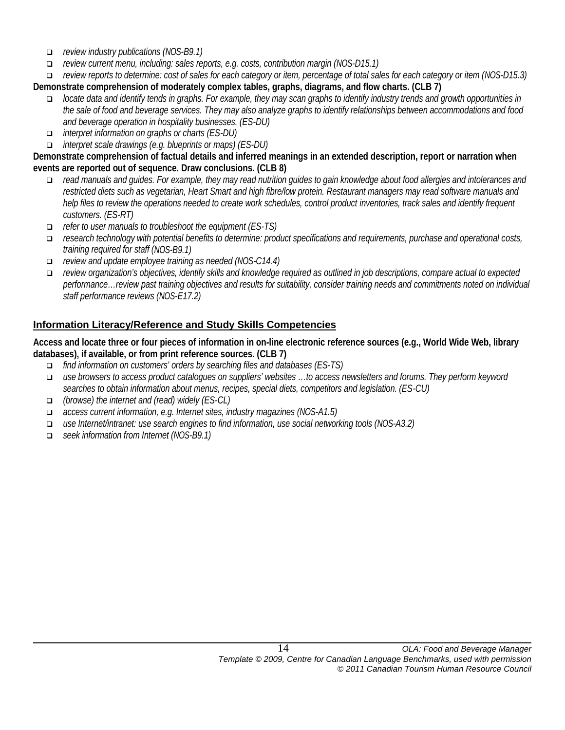- *review industry publications (NOS-B9.1)*
- *review current menu, including: sales reports, e.g. costs, contribution margin (NOS-D15.1)*

 *review reports to determine: cost of sales for each category or item, percentage of total sales for each category or item (NOS-D15.3)*  **Demonstrate comprehension of moderately complex tables, graphs, diagrams, and flow charts. (CLB 7)**

- *locate data and identify tends in graphs. For example, they may scan graphs to identify industry trends and growth opportunities in the sale of food and beverage services. They may also analyze graphs to identify relationships between accommodations and food and beverage operation in hospitality businesses. (ES-DU)*
- *interpret information on graphs or charts (ES-DU)*
- *interpret scale drawings (e.g. blueprints or maps) (ES-DU)*

**Demonstrate comprehension of factual details and inferred meanings in an extended description, report or narration when events are reported out of sequence. Draw conclusions. (CLB 8)**

- *read manuals and guides. For example, they may read nutrition guides to gain knowledge about food allergies and intolerances and restricted diets such as vegetarian, Heart Smart and high fibre/low protein. Restaurant managers may read software manuals and help files to review the operations needed to create work schedules, control product inventories, track sales and identify frequent customers. (ES-RT)*
- *refer to user manuals to troubleshoot the equipment (ES-TS)*
- *research technology with potential benefits to determine: product specifications and requirements, purchase and operational costs, training required for staff (NOS-B9.1)*
- *review and update employee training as needed (NOS-C14.4)*
- *review organization's objectives, identify skills and knowledge required as outlined in job descriptions, compare actual to expected performance…review past training objectives and results for suitability, consider training needs and commitments noted on individual staff performance reviews (NOS-E17.2)*

#### **Information Literacy/Reference and Study Skills Competencies**

**Access and locate three or four pieces of information in on-line electronic reference sources (e.g., World Wide Web, library databases), if available, or from print reference sources. (CLB 7)** 

- *find information on customers' orders by searching files and databases (ES-TS)*
- *use browsers to access product catalogues on suppliers' websites …to access newsletters and forums. They perform keyword searches to obtain information about menus, recipes, special diets, competitors and legislation. (ES-CU)*
- *(browse) the internet and (read) widely (ES-CL)*
- *access current information, e.g. Internet sites, industry magazines (NOS-A1.5)*
- *use Internet/intranet: use search engines to find information, use social networking tools (NOS-A3.2)*
- *seek information from Internet (NOS-B9.1)*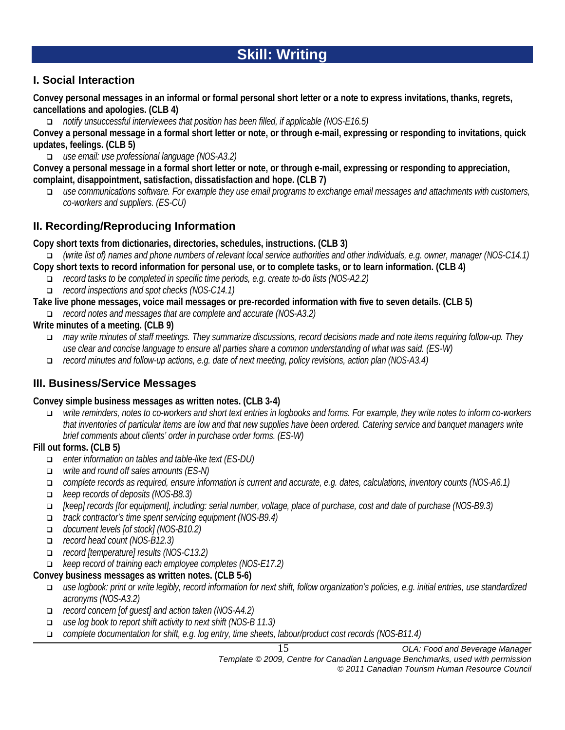# **Skill: Writing**

# **I. Social Interaction**

**Convey personal messages in an informal or formal personal short letter or a note to express invitations, thanks, regrets, cancellations and apologies. (CLB 4)**

*notify unsuccessful interviewees that position has been filled, if applicable (NOS-E16.5)*

**Convey a personal message in a formal short letter or note, or through e-mail, expressing or responding to invitations, quick updates, feelings. (CLB 5)**

*use email: use professional language (NOS-A3.2)*

**Convey a personal message in a formal short letter or note, or through e-mail, expressing or responding to appreciation, complaint, disappointment, satisfaction, dissatisfaction and hope. (CLB 7)**

 *use communications software. For example they use email programs to exchange email messages and attachments with customers, co-workers and suppliers. (ES-CU)*

# **II. Recording/Reproducing Information**

**Copy short texts from dictionaries, directories, schedules, instructions. (CLB 3)**

- *(write list of) names and phone numbers of relevant local service authorities and other individuals, e.g. owner, manager (NOS-C14.1)*
- **Copy short texts to record information for personal use, or to complete tasks, or to learn information. (CLB 4)**
	- *record tasks to be completed in specific time periods, e.g. create to-do lists (NOS-A2.2)*
	- *record inspections and spot checks (NOS-C14.1)*
- **Take live phone messages, voice mail messages or pre-recorded information with five to seven details. (CLB 5)**
- *record notes and messages that are complete and accurate (NOS-A3.2)*
- **Write minutes of a meeting. (CLB 9)**
	- *may write minutes of staff meetings. They summarize discussions, record decisions made and note items requiring follow-up. They use clear and concise language to ensure all parties share a common understanding of what was said. (ES-W)*
	- *record minutes and follow-up actions, e.g. date of next meeting, policy revisions, action plan (NOS-A3.4)*

# **III. Business/Service Messages**

#### **Convey simple business messages as written notes. (CLB 3-4)**

 *write reminders, notes to co-workers and short text entries in logbooks and forms. For example, they write notes to inform co-workers that inventories of particular items are low and that new supplies have been ordered. Catering service and banquet managers write brief comments about clients' order in purchase order forms. (ES-W)*

#### **Fill out forms. (CLB 5)**

- *enter information on tables and table-like text (ES-DU)*
- *write and round off sales amounts (ES-N)*
- *complete records as required, ensure information is current and accurate, e.g. dates, calculations, inventory counts (NOS-A6.1)*
- *keep records of deposits (NOS-B8.3)*
- *[keep] records [for equipment], including: serial number, voltage, place of purchase, cost and date of purchase (NOS-B9.3)*
- *track contractor's time spent servicing equipment (NOS-B9.4)*
- *document levels [of stock] (NOS-B10.2)*
- *record head count (NOS-B12.3)*
- *record [temperature] results (NOS-C13.2)*
- *keep record of training each employee completes (NOS-E17.2)*

#### **Convey business messages as written notes. (CLB 5-6)**

- *use logbook: print or write legibly, record information for next shift, follow organization's policies, e.g. initial entries, use standardized acronyms (NOS-A3.2)*
- *record concern [of guest] and action taken (NOS-A4.2)*
- *use log book to report shift activity to next shift (NOS-B 11.3)*
- *complete documentation for shift, e.g. log entry, time sheets, labour/product cost records (NOS-B11.4)*

15 *OLA: Food and Beverage Manager*

*Template © 2009, Centre for Canadian Language Benchmarks, used with permission © 2011 Canadian Tourism Human Resource Council*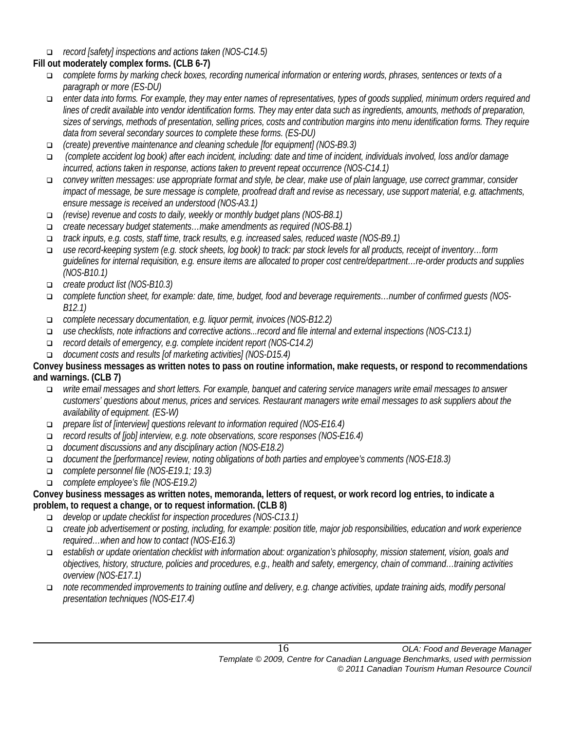*record [safety] inspections and actions taken (NOS-C14.5)*

# **Fill out moderately complex forms. (CLB 6-7)**

- *complete forms by marking check boxes, recording numerical information or entering words, phrases, sentences or texts of a paragraph or more (ES-DU)*
- *enter data into forms. For example, they may enter names of representatives, types of goods supplied, minimum orders required and lines of credit available into vendor identification forms. They may enter data such as ingredients, amounts, methods of preparation, sizes of servings, methods of presentation, selling prices, costs and contribution margins into menu identification forms. They require data from several secondary sources to complete these forms. (ES-DU)*
- *(create) preventive maintenance and cleaning schedule [for equipment] (NOS-B9.3)*
- *(complete accident log book) after each incident, including: date and time of incident, individuals involved, loss and/or damage incurred, actions taken in response, actions taken to prevent repeat occurrence (NOS-C14.1)*
- *convey written messages: use appropriate format and style, be clear, make use of plain language, use correct grammar, consider impact of message, be sure message is complete, proofread draft and revise as necessary, use support material, e.g. attachments, ensure message is received an understood (NOS-A3.1)*
- *(revise) revenue and costs to daily, weekly or monthly budget plans (NOS-B8.1)*
- *create necessary budget statements…make amendments as required (NOS-B8.1)*
- *track inputs, e.g. costs, staff time, track results, e.g. increased sales, reduced waste (NOS-B9.1)*
- *use record-keeping system (e.g. stock sheets, log book) to track: par stock levels for all products, receipt of inventory…form guidelines for internal requisition, e.g. ensure items are allocated to proper cost centre/department…re-order products and supplies (NOS-B10.1)*
- *create product list (NOS-B10.3)*
- *complete function sheet, for example: date, time, budget, food and beverage requirements…number of confirmed guests (NOS-B12.1)*
- *complete necessary documentation, e.g. liquor permit, invoices (NOS-B12.2)*
- *use checklists, note infractions and corrective actions...record and file internal and external inspections (NOS-C13.1)*
- *record details of emergency, e.g. complete incident report (NOS-C14.2)*
- *document costs and results [of marketing activities] (NOS-D15.4)*

#### **Convey business messages as written notes to pass on routine information, make requests, or respond to recommendations and warnings. (CLB 7)**

- *write email messages and short letters. For example, banquet and catering service managers write email messages to answer customers' questions about menus, prices and services. Restaurant managers write email messages to ask suppliers about the availability of equipment. (ES-W)*
- *prepare list of [interview] questions relevant to information required (NOS-E16.4)*
- *record results of [job] interview, e.g. note observations, score responses (NOS-E16.4)*
- *document discussions and any disciplinary action (NOS-E18.2)*
- *document the [performance] review, noting obligations of both parties and employee's comments (NOS-E18.3)*
- *complete personnel file (NOS-E19.1; 19.3)*
- *complete employee's file (NOS-E19.2)*

#### **Convey business messages as written notes, memoranda, letters of request, or work record log entries, to indicate a problem, to request a change, or to request information. (CLB 8)**

- *develop or update checklist for inspection procedures (NOS-C13.1)*
- *create job advertisement or posting, including, for example: position title, major job responsibilities, education and work experience required…when and how to contact (NOS-E16.3)*
- *establish or update orientation checklist with information about: organization's philosophy, mission statement, vision, goals and objectives, history, structure, policies and procedures, e.g., health and safety, emergency, chain of command…training activities overview (NOS-E17.1)*
- *note recommended improvements to training outline and delivery, e.g. change activities, update training aids, modify personal presentation techniques (NOS-E17.4)*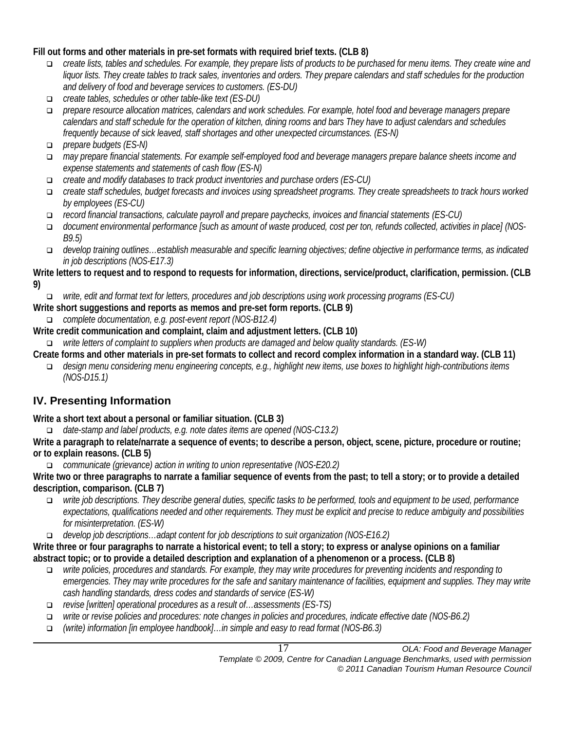#### **Fill out forms and other materials in pre-set formats with required brief texts. (CLB 8)**

- *create lists, tables and schedules. For example, they prepare lists of products to be purchased for menu items. They create wine and liquor lists. They create tables to track sales, inventories and orders. They prepare calendars and staff schedules for the production and delivery of food and beverage services to customers. (ES-DU)*
- *create tables, schedules or other table-like text (ES-DU)*
- *prepare resource allocation matrices, calendars and work schedules. For example, hotel food and beverage managers prepare calendars and staff schedule for the operation of kitchen, dining rooms and bars They have to adjust calendars and schedules frequently because of sick leaved, staff shortages and other unexpected circumstances. (ES-N)*
- *prepare budgets (ES-N)*
- *may prepare financial statements. For example self-employed food and beverage managers prepare balance sheets income and expense statements and statements of cash flow (ES-N)*
- *create and modify databases to track product inventories and purchase orders (ES-CU)*
- *create staff schedules, budget forecasts and invoices using spreadsheet programs. They create spreadsheets to track hours worked by employees (ES-CU)*
- *record financial transactions, calculate payroll and prepare paychecks, invoices and financial statements (ES-CU)*
- *document environmental performance [such as amount of waste produced, cost per ton, refunds collected, activities in place] (NOS-B9.5)*
- *develop training outlines…establish measurable and specific learning objectives; define objective in performance terms, as indicated in job descriptions (NOS-E17.3)*

#### **Write letters to request and to respond to requests for information, directions, service/product, clarification, permission. (CLB 9)**

- *write, edit and format text for letters, procedures and job descriptions using work processing programs (ES-CU)*
- **Write short suggestions and reports as memos and pre-set form reports. (CLB 9)**
	- *complete documentation, e.g. post-event report (NOS-B12.4)*
- **Write credit communication and complaint, claim and adjustment letters. (CLB 10)**
- *write letters of complaint to suppliers when products are damaged and below quality standards. (ES-W)*
- **Create forms and other materials in pre-set formats to collect and record complex information in a standard way. (CLB 11)**
	- *design menu considering menu engineering concepts, e.g., highlight new items, use boxes to highlight high-contributions items (NOS-D15.1)*

# **IV. Presenting Information**

**Write a short text about a personal or familiar situation. (CLB 3)**

*date-stamp and label products, e.g. note dates items are opened (NOS-C13.2)*

**Write a paragraph to relate/narrate a sequence of events; to describe a person, object, scene, picture, procedure or routine; or to explain reasons. (CLB 5)**

*communicate (grievance) action in writing to union representative (NOS-E20.2)*

**Write two or three paragraphs to narrate a familiar sequence of events from the past; to tell a story; or to provide a detailed description, comparison. (CLB 7)**

- *write job descriptions. They describe general duties, specific tasks to be performed, tools and equipment to be used, performance expectations, qualifications needed and other requirements. They must be explicit and precise to reduce ambiguity and possibilities for misinterpretation. (ES-W)*
- *develop job descriptions…adapt content for job descriptions to suit organization (NOS-E16.2)*

**Write three or four paragraphs to narrate a historical event; to tell a story; to express or analyse opinions on a familiar abstract topic; or to provide a detailed description and explanation of a phenomenon or a process. (CLB 8)**

- *write policies, procedures and standards. For example, they may write procedures for preventing incidents and responding to emergencies. They may write procedures for the safe and sanitary maintenance of facilities, equipment and supplies. They may write cash handling standards, dress codes and standards of service (ES-W)*
- *revise [written] operational procedures as a result of…assessments (ES-TS)*
- *write or revise policies and procedures: note changes in policies and procedures, indicate effective date (NOS-B6.2)*
- *(write) information [in employee handbook]…in simple and easy to read format (NOS-B6.3)*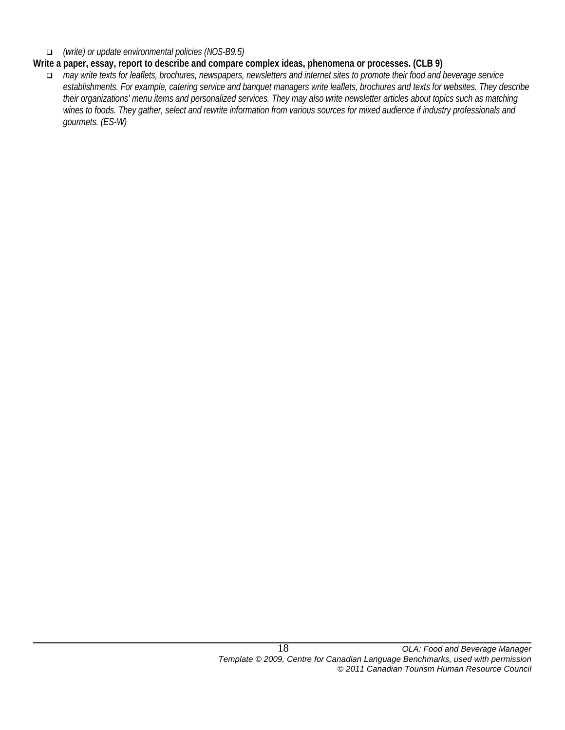*(write) or update environmental policies (NOS-B9.5)*

#### **Write a paper, essay, report to describe and compare complex ideas, phenomena or processes. (CLB 9)**

 *may write texts for leaflets, brochures, newspapers, newsletters and internet sites to promote their food and beverage service establishments. For example, catering service and banquet managers write leaflets, brochures and texts for websites. They describe their organizations' menu items and personalized services. They may also write newsletter articles about topics such as matching wines to foods. They gather, select and rewrite information from various sources for mixed audience if industry professionals and gourmets. (ES-W)*